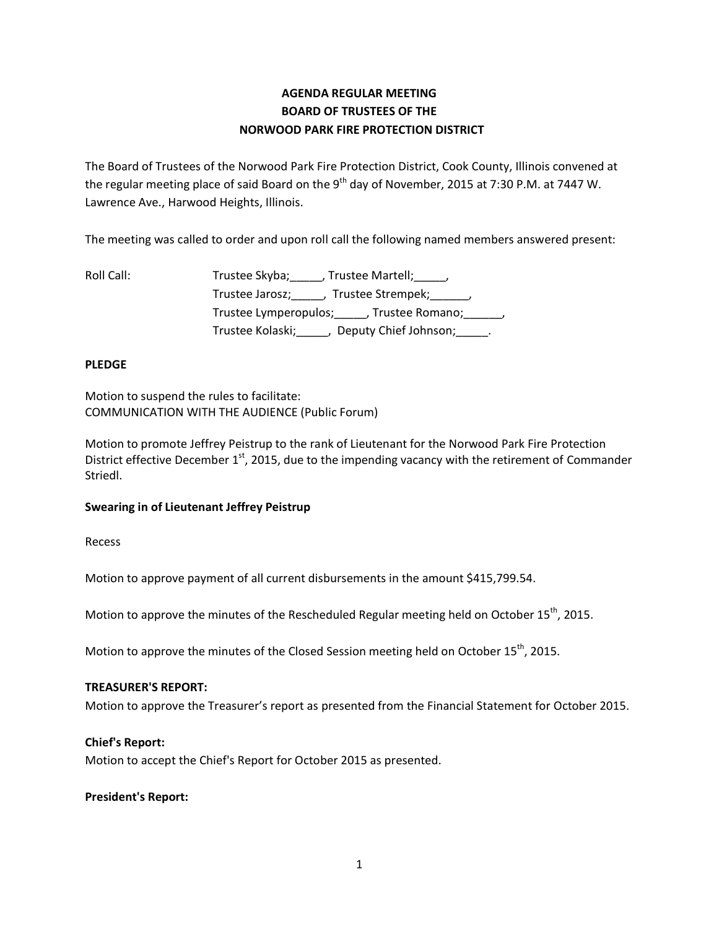# **AGENDA REGULAR MEETING BOARD OF TRUSTEES OF THE NORWOOD PARK FIRE PROTECTION DISTRICT**

The Board of Trustees of the Norwood Park Fire Protection District, Cook County, Illinois convened at the regular meeting place of said Board on the 9<sup>th</sup> day of November, 2015 at 7:30 P.M. at 7447 W. Lawrence Ave., Harwood Heights, Illinois.

The meeting was called to order and upon roll call the following named members answered present:

| Roll Call: | Trustee Skyba; ______, Trustee Martell; _____,         |
|------------|--------------------------------------------------------|
|            | Trustee Jarosz; _____, Trustee Strempek; ______,       |
|            | Trustee Lymperopulos; ______, Trustee Romano; _______, |
|            | Trustee Kolaski; (a)<br>Deputy Chief Johnson; Theory   |

# **PLEDGE**

Motion to suspend the rules to facilitate: COMMUNICATION WITH THE AUDIENCE (Public Forum)

Motion to promote Jeffrey Peistrup to the rank of Lieutenant for the Norwood Park Fire Protection District effective December 1<sup>st</sup>, 2015, due to the impending vacancy with the retirement of Commander Striedl.

# **Swearing in of Lieutenant Jeffrey Peistrup**

Recess

Motion to approve payment of all current disbursements in the amount \$415,799.54.

Motion to approve the minutes of the Rescheduled Regular meeting held on October 15<sup>th</sup>, 2015.

Motion to approve the minutes of the Closed Session meeting held on October 15<sup>th</sup>, 2015.

# **TREASURER'S REPORT:**

Motion to approve the Treasurer's report as presented from the Financial Statement for October 2015.

# **Chief's Report:**

Motion to accept the Chief's Report for October 2015 as presented.

# **President's Report:**